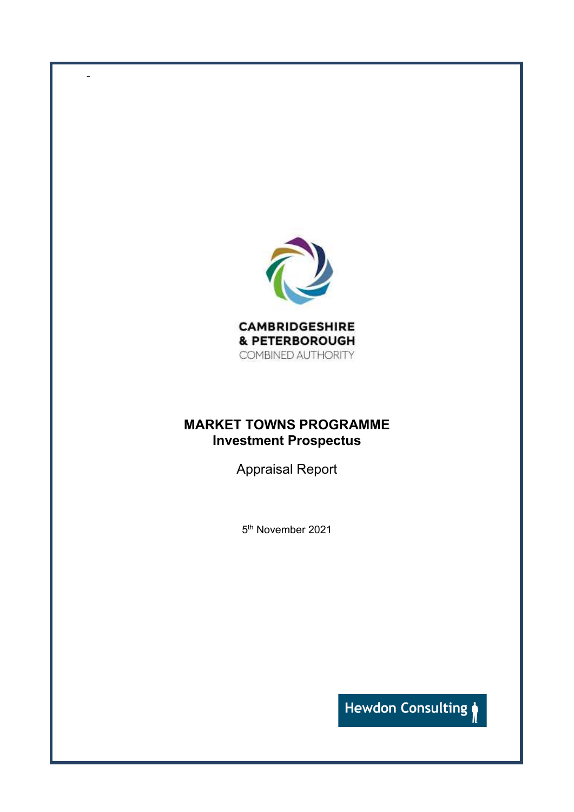

-

## **MARKET TOWNS PROGRAMME Investment Prospectus**

Appraisal Report

5 th November 2021

Hewdon Consulting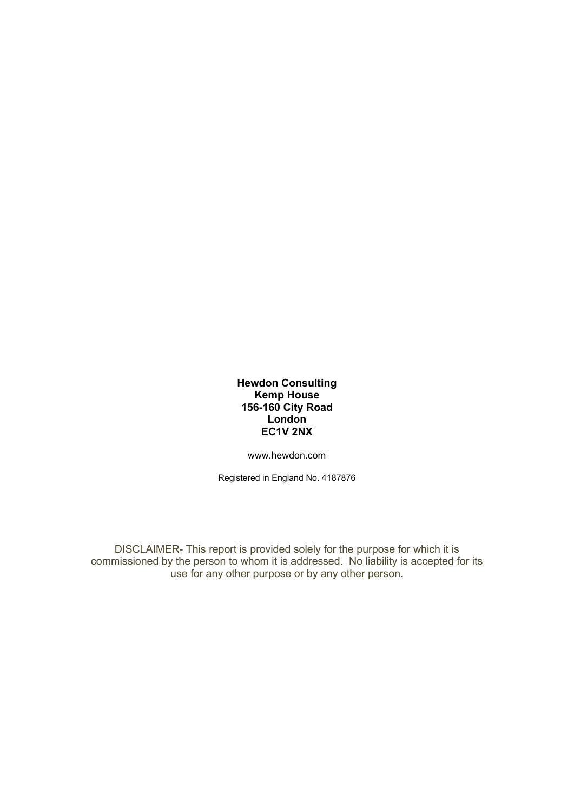## **Hewdon Consulting Kemp House 156-160 City Road London EC1V 2NX**

[www.hewdon.com](http://www.hewdon.com/) 

Registered in England No. 4187876

DISCLAIMER- This report is provided solely for the purpose for which it is commissioned by the person to whom it is addressed. No liability is accepted for its use for any other purpose or by any other person.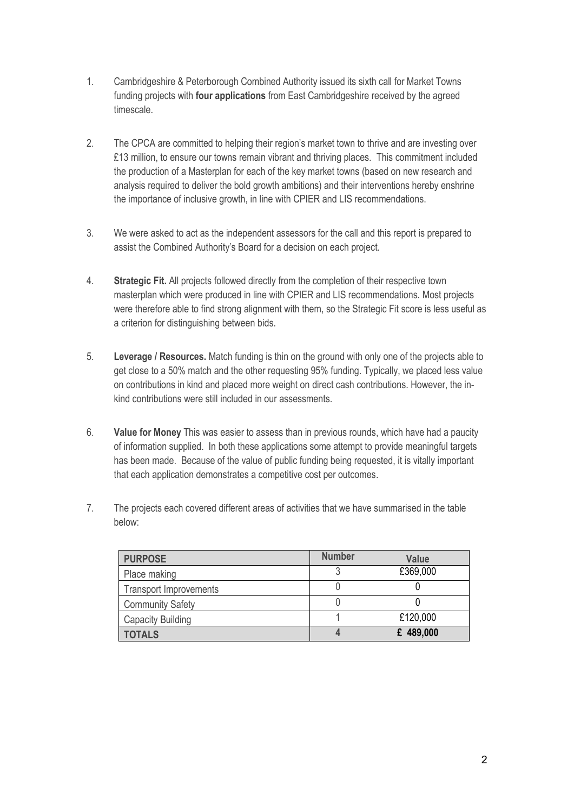- 1. Cambridgeshire & Peterborough Combined Authority issued its sixth call for Market Towns funding projects with **four applications** from East Cambridgeshire received by the agreed timescale.
- 2. The CPCA are committed to helping their region's market town to thrive and are investing over £13 million, to ensure our towns remain vibrant and thriving places. This commitment included the production of a Masterplan for each of the key market towns (based on new research and analysis required to deliver the bold growth ambitions) and their interventions hereby enshrine the importance of inclusive growth, in line with CPIER and LIS recommendations.
- 3. We were asked to act as the independent assessors for the call and this report is prepared to assist the Combined Authority's Board for a decision on each project.
- 4. **Strategic Fit.** All projects followed directly from the completion of their respective town masterplan which were produced in line with CPIER and LIS recommendations. Most projects were therefore able to find strong alignment with them, so the Strategic Fit score is less useful as a criterion for distinguishing between bids.
- 5. **Leverage / Resources.** Match funding is thin on the ground with only one of the projects able to get close to a 50% match and the other requesting 95% funding. Typically, we placed less value on contributions in kind and placed more weight on direct cash contributions. However, the inkind contributions were still included in our assessments.
- 6. **Value for Money** This was easier to assess than in previous rounds, which have had a paucity of information supplied. In both these applications some attempt to provide meaningful targets has been made. Because of the value of public funding being requested, it is vitally important that each application demonstrates a competitive cost per outcomes.
- 7. The projects each covered different areas of activities that we have summarised in the table below:

| <b>PURPOSE</b>                | <b>Number</b> | <b>Value</b> |
|-------------------------------|---------------|--------------|
| Place making                  |               | £369,000     |
| <b>Transport Improvements</b> |               |              |
| <b>Community Safety</b>       |               |              |
| <b>Capacity Building</b>      |               | £120,000     |
| <b>TOTALS</b>                 |               | £ 489,000    |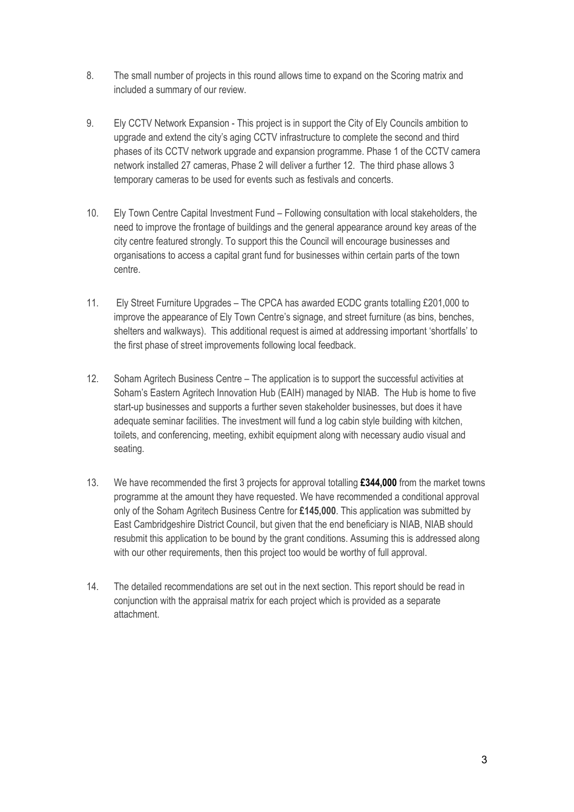- 8. The small number of projects in this round allows time to expand on the Scoring matrix and included a summary of our review.
- 9. Ely CCTV Network Expansion This project is in support the City of Ely Councils ambition to upgrade and extend the city's aging CCTV infrastructure to complete the second and third phases of its CCTV network upgrade and expansion programme. Phase 1 of the CCTV camera network installed 27 cameras, Phase 2 will deliver a further 12. The third phase allows 3 temporary cameras to be used for events such as festivals and concerts.
- 10. Ely Town Centre Capital Investment Fund Following consultation with local stakeholders, the need to improve the frontage of buildings and the general appearance around key areas of the city centre featured strongly. To support this the Council will encourage businesses and organisations to access a capital grant fund for businesses within certain parts of the town centre.
- 11. Ely Street Furniture Upgrades The CPCA has awarded ECDC grants totalling £201,000 to improve the appearance of Ely Town Centre's signage, and street furniture (as bins, benches, shelters and walkways). This additional request is aimed at addressing important 'shortfalls' to the first phase of street improvements following local feedback.
- 12. Soham Agritech Business Centre The application is to support the successful activities at Soham's Eastern Agritech Innovation Hub (EAIH) managed by NIAB. The Hub is home to five start-up businesses and supports a further seven stakeholder businesses, but does it have adequate seminar facilities. The investment will fund a log cabin style building with kitchen, toilets, and conferencing, meeting, exhibit equipment along with necessary audio visual and seating.
- 13. We have recommended the first 3 projects for approval totalling **£344,000** from the market towns programme at the amount they have requested. We have recommended a conditional approval only of the Soham Agritech Business Centre for **£145,000**. This application was submitted by East Cambridgeshire District Council, but given that the end beneficiary is NIAB, NIAB should resubmit this application to be bound by the grant conditions. Assuming this is addressed along with our other requirements, then this project too would be worthy of full approval.
- 14. The detailed recommendations are set out in the next section. This report should be read in conjunction with the appraisal matrix for each project which is provided as a separate attachment.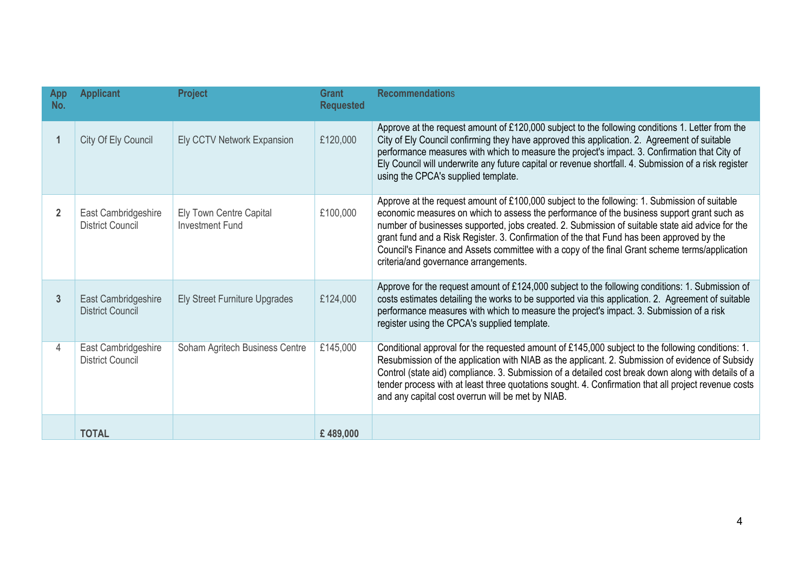| App<br>No.     | <b>Applicant</b>                               | <b>Project</b>                                    | <b>Grant</b><br><b>Requested</b> | <b>Recommendations</b>                                                                                                                                                                                                                                                                                                                                                                                                                                                                                                                  |
|----------------|------------------------------------------------|---------------------------------------------------|----------------------------------|-----------------------------------------------------------------------------------------------------------------------------------------------------------------------------------------------------------------------------------------------------------------------------------------------------------------------------------------------------------------------------------------------------------------------------------------------------------------------------------------------------------------------------------------|
| 1              | City Of Ely Council                            | Ely CCTV Network Expansion                        | £120,000                         | Approve at the request amount of £120,000 subject to the following conditions 1. Letter from the<br>City of Ely Council confirming they have approved this application. 2. Agreement of suitable<br>performance measures with which to measure the project's impact. 3. Confirmation that City of<br>Ely Council will underwrite any future capital or revenue shortfall. 4. Submission of a risk register<br>using the CPCA's supplied template.                                                                                       |
| $\overline{2}$ | East Cambridgeshire<br><b>District Council</b> | Ely Town Centre Capital<br><b>Investment Fund</b> | £100,000                         | Approve at the request amount of £100,000 subject to the following: 1. Submission of suitable<br>economic measures on which to assess the performance of the business support grant such as<br>number of businesses supported, jobs created. 2. Submission of suitable state aid advice for the<br>grant fund and a Risk Register. 3. Confirmation of the that Fund has been approved by the<br>Council's Finance and Assets committee with a copy of the final Grant scheme terms/application<br>criteria/and governance arrangements. |
| 3              | East Cambridgeshire<br><b>District Council</b> | <b>Ely Street Furniture Upgrades</b>              | £124,000                         | Approve for the request amount of £124,000 subject to the following conditions: 1. Submission of<br>costs estimates detailing the works to be supported via this application. 2. Agreement of suitable<br>performance measures with which to measure the project's impact. 3. Submission of a risk<br>register using the CPCA's supplied template.                                                                                                                                                                                      |
| 4              | East Cambridgeshire<br><b>District Council</b> | Soham Agritech Business Centre                    | £145,000                         | Conditional approval for the requested amount of £145,000 subject to the following conditions: 1.<br>Resubmission of the application with NIAB as the applicant. 2. Submission of evidence of Subsidy<br>Control (state aid) compliance. 3. Submission of a detailed cost break down along with details of a<br>tender process with at least three quotations sought. 4. Confirmation that all project revenue costs<br>and any capital cost overrun will be met by NIAB.                                                               |
|                | <b>TOTAL</b>                                   |                                                   | £489,000                         |                                                                                                                                                                                                                                                                                                                                                                                                                                                                                                                                         |